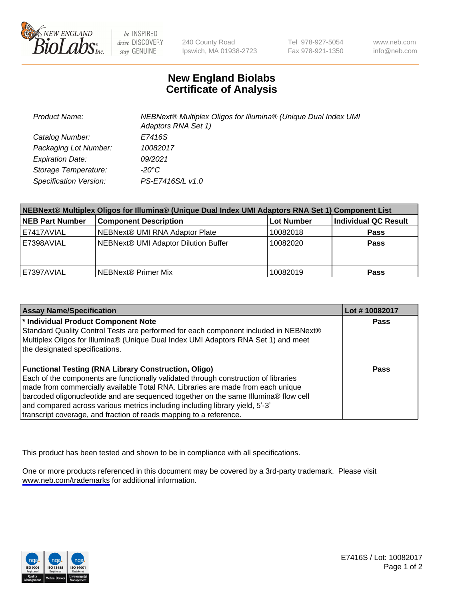

be INSPIRED drive DISCOVERY stay GENUINE

240 County Road Ipswich, MA 01938-2723 Tel 978-927-5054 Fax 978-921-1350

www.neb.com info@neb.com

## **New England Biolabs Certificate of Analysis**

| <b>Product Name:</b>    | NEBNext® Multiplex Oligos for Illumina® (Unique Dual Index UMI<br>Adaptors RNA Set 1) |
|-------------------------|---------------------------------------------------------------------------------------|
| Catalog Number:         | E7416S                                                                                |
| Packaging Lot Number:   | 10082017                                                                              |
| <b>Expiration Date:</b> | 09/2021                                                                               |
| Storage Temperature:    | $-20^{\circ}$ C                                                                       |
| Specification Version:  | PS-E7416S/L v1.0                                                                      |

| NEBNext® Multiplex Oligos for Illumina® (Unique Dual Index UMI Adaptors RNA Set 1) Component List |                                      |                   |                      |  |
|---------------------------------------------------------------------------------------------------|--------------------------------------|-------------------|----------------------|--|
| <b>NEB Part Number</b>                                                                            | <b>Component Description</b>         | <b>Lot Number</b> | Individual QC Result |  |
| E7417AVIAL                                                                                        | NEBNext® UMI RNA Adaptor Plate       | 10082018          | <b>Pass</b>          |  |
| E7398AVIAL                                                                                        | NEBNext® UMI Adaptor Dilution Buffer | 10082020          | <b>Pass</b>          |  |
| E7397AVIAL                                                                                        | NEBNext <sup>®</sup> Primer Mix      | 10082019          | <b>Pass</b>          |  |

| <b>Assay Name/Specification</b>                                                                                                                                                                                                                                                                                                                                | Lot #10082017 |
|----------------------------------------------------------------------------------------------------------------------------------------------------------------------------------------------------------------------------------------------------------------------------------------------------------------------------------------------------------------|---------------|
| <sup>*</sup> Individual Product Component Note<br>Standard Quality Control Tests are performed for each component included in NEBNext®<br>Multiplex Oligos for Illumina® (Unique Dual Index UMI Adaptors RNA Set 1) and meet                                                                                                                                   | <b>Pass</b>   |
| the designated specifications.<br><b>Functional Testing (RNA Library Construction, Oligo)</b><br>Each of the components are functionally validated through construction of libraries<br>made from commercially available Total RNA. Libraries are made from each unique<br>barcoded oligonucleotide and are sequenced together on the same Illumina® flow cell | Pass          |
| and compared across various metrics including including library yield, 5'-3'<br>transcript coverage, and fraction of reads mapping to a reference.                                                                                                                                                                                                             |               |

This product has been tested and shown to be in compliance with all specifications.

One or more products referenced in this document may be covered by a 3rd-party trademark. Please visit <www.neb.com/trademarks>for additional information.